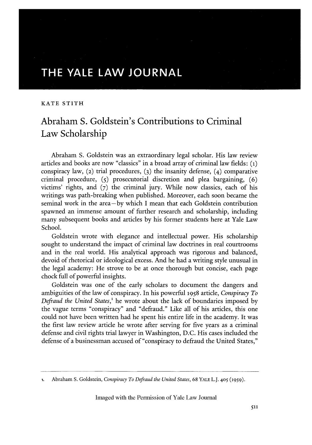## **THE YALE LAW JOURNAL**

## KATE STITH

## Abraham **S.** Goldstein's Contributions to Criminal Law Scholarship

Abraham S. Goldstein was an extraordinary legal scholar. His law review articles and books are now "classics" in a broad array of criminal law fields: (i) conspiracy law, (2) trial procedures, **(3)** the insanity defense, (4) comparative criminal procedure, **(5)** prosecutorial discretion and plea bargaining, (6) victims' rights, and **(7)** the criminal jury. While now classics, each of his writings was path-breaking when published. Moreover, each soon became the seminal work in the area **-by** which I mean that each Goldstein contribution spawned an immense amount of further research and scholarship, including many subsequent books and articles by his former students here at Yale Law School.

Goldstein wrote with elegance and intellectual power. His scholarship sought to understand the impact of criminal law doctrines in real courtrooms and in the real world. His analytical approach was rigorous and balanced, devoid of rhetorical or ideological excess. And he had a writing style unusual in the legal academy: He strove to be at once thorough but concise, each page chock full of powerful insights.

Goldstein was one of the early scholars to document the dangers and ambiguities of the law of conspiracy. In his powerful 1958 article, *Conspiracy To Defraud the United States*,<sup>1</sup> he wrote about the lack of boundaries imposed by the vague terms "conspiracy" and "defraud." Like all of his articles, this one could not have been written had he spent his entire life in the academy. It was the first law review article he wrote after serving for five years as a criminal defense and civil rights trial lawyer in Washington, D.C. His cases included the defense of a businessman accused of "conspiracy to defraud the United States,"

**<sup>1.</sup>** Abraham S. Goldstein, *Conspiracy To Defraud the United States,* 68 YALE L.J. **405 (1959).**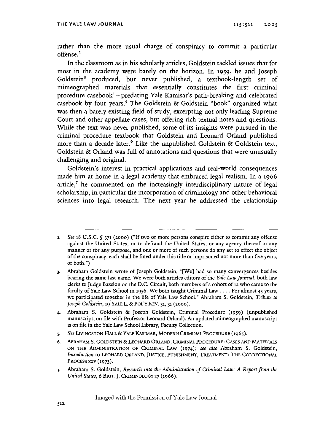rather than the more usual charge of conspiracy to commit a particular offense.<sup>2</sup>

In the classroom as in his scholarly articles, Goldstein tackled issues that for most in the academy were barely on the horizon. In **1959,** he and Joseph Goldstein<sup>3</sup> produced, but never published, a textbook-length set of mimeographed materials that essentially constitutes the first criminal procedure casebook<sup>4</sup> - predating Yale Kamisar's path-breaking and celebrated casebook by four years.' The Goldstein & Goldstein "book" organized what was then a barely existing field of study, excerpting not only leading Supreme Court and other appellate cases, but offering rich textual notes and questions. While the text was never published, some of its insights were pursued in the criminal procedure textbook that Goldstein and Leonard Orland published more than a decade later.<sup>6</sup> Like the unpublished Goldstein & Goldstein text, Goldstein & Orland was full of annotations and questions that were unusually challenging and original.

Goldstein's interest in practical applications and real-world consequences made him at home in a legal academy that embraced legal realism. In a **1966** article,<sup>7</sup> he commented on the increasingly interdisciplinary nature of legal scholarship, in particular the incorporation of criminology and other behavioral sciences into legal research. The next year he addressed the relationship

- 4. Abraham S. Goldstein & Joseph Goldstein, Criminal Procedure **(1959)** (unpublished manuscript, on file with Professor Leonard Orland). An updated mimeographed manuscript is on file in the Yale Law School Library, Faculty Collection.
- *5. See* **LIVINGSTON** HALL **&** YALE KASIMAR, MODERN CRIMINAL **PROCEDURE** (1965).
- **6.** ABRAHAM S. GOLDSTEIN **&** LEONARD ORLAND, CRIMINAL **PROCEDURE: CASES AND** MATERIALS **ON** THE ADMINISTRATION OF CRIMINAL LAw (1974); *see also* Abraham S. Goldstein, *Introduction* to LEONARD ORLAND, **JUSTICE, PUNISHMENT,** TREATMENT: THE CORRECTIONAL **PROCESS** XXV **(1973).**
- **7.** Abraham S. Goldstein, *Research into* the *Administration* of *Criminal Law: A Report from the United States,* **6 BRIT. J.** CRIMINOLOGY **27** (1966).

<sup>2.</sup> *See* 18 U.S.C. **5 371** (2000) ("If two or more persons conspire either to commit any offense against the United States, or to defraud the United States, or any agency thereof in any manner or for any purpose, and one or more of such persons do any act to effect the object of the conspiracy, each shall be fined under this tide or imprisoned not more than five years, or both.")

**<sup>3.</sup>** Abraham Goldstein wrote of Joseph Goldstein, "[We] had so many convergences besides bearing the same last name. We were both articles editors of the *Yale Law Journal,* both law clerks to Judge Bazelon on the D.C. Circuit, both members of a cohort of **12** who came to the faculty of Yale Law School in **1956.** We both taught Criminal Law .... For almost 45 years, we participated together in the life of Yale Law School." Abraham S. Goldstein, *Tribute to Joseph Goldstein,* **19** YALE L. &POL'Y REV. **31, 31 (2000).**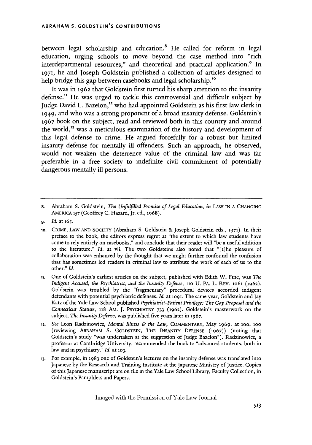between legal scholarship and education.<sup>8</sup> He called for reform in legal education, urging schools to move beyond the case method into "rich interdepartmental resources," and theoretical and practical application.<sup>9</sup> In **1971,** he and Joseph Goldstein published a collection of articles designed to help bridge this gap between casebooks and legal scholarship.<sup>10</sup>

It was in **1962** that Goldstein first turned his sharp attention to the insanity defense." He was urged to tackle this controversial and difficult subject **by** Judge David L. Bazelon,<sup>12</sup> who had appointed Goldstein as his first law clerk in **1949,** and who was a strong proponent of a broad insanity defense. Goldstein's **1967** book on the subject, read and reviewed both in this country and around the world,<sup>13</sup> was a meticulous examination of the history and development of this legal defense to crime. He argued forcefully for a robust but limited insanity defense for mentally ill offenders. Such an approach, he observed, would not weaken the deterrence value of the criminal law and was far preferable in a free society to indefinite civil commitment of potentially dangerous mentally ill persons.

- **11.** One of Goldstein's earliest articles on the subject, published with Edith W. Fine, was *The Indigent Accused, the Psychiatrist, and the Insanity Defense,* **1io U.** PA. L. REV. **lo61** (1962). Goldstein was troubled by the "fragmentary" procedural devices accorded indigent defendants with potential psychiatric defenses. *Id.* at **1O91.** The same year, Goldstein and Jay Katz *of* the Yale Law School published *Psychiatrist-Patient Privilege: The Gap Proposal and the Connecticut Statute,* **118 AM. J.** PSYCHIATRY **733** (1962). Goldstein's masterwork on the subject, *The Insanity Defense,* was published five years later in **1967.**
- 12. *See* Leon Radzinowicz, *Mental Illness & the Law,* COMMENTARY, May **1969,** at ioo, **1OO** (reviewing ABRAHAM S. **GOLDSTEIN,** THE INSANITY **DEFENSE** (1967)) (noting that Goldstein's study "was undertaken at the suggestion of Judge Bazelon"). Radzinowicz, a professor at Cambridge University, recommended the book to "advanced students, both in law and in psychiatry." *Id.* at **103.**
- **13.** For example, in 1983 one of Goldstein's lectures on the insanity defense was translated into Japanese by the Research and Training Institute at the Japanese Ministry of Justice. Copies of this Japanese manuscript are on file in the Yale Law School Library, Faculty Collection, in Goldstein's Pamphlets and Papers.

**<sup>8.</sup>** Abraham **S.** Goldstein, *The Unfufilled Promise of Legal Education, in* LAW IN **A CHANGING** AMERICA **157** (Geoffrey C. Hazard, Jr. ed., 1968).

*<sup>9.</sup> Id.* at **165.**

**<sup>1</sup>o.** CRME, LAW AND SOCIETY (Abraham S. Goldstein & Joseph Goldstein eds., **1971).** In their preface to the book, the editors express regret at "the extent to which law students have come to rely entirely on casebooks," and conclude that their reader will "be a useful addition to the literature." *Id.* at vii. The two Goldsteins also noted that "[t]he pleasure of collaboration was enhanced by the thought that we might further confound the confusion that has sometimes led readers in criminal law to attribute the work of each of us to the other." *Id.*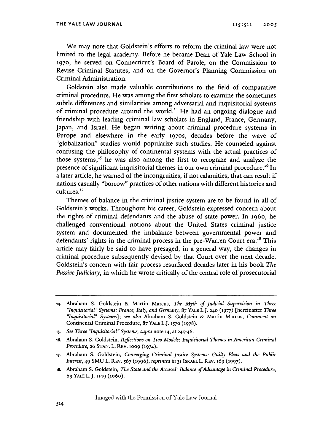We may note that Goldstein's efforts to reform the criminal law were not limited to the legal academy. Before he became Dean of Yale Law School in **1970,** he served on Connecticut's Board of Parole, on the Commission to Revise Criminal Statutes, and on the Governor's Planning Commission on Criminal Administration.

Goldstein also made valuable contributions to the field of comparative criminal procedure. He was among the first scholars to examine the sometimes subtle differences and similarities among adversarial and inquisitorial systems of criminal procedure around the world.<sup>14</sup> He had an ongoing dialogue and friendship with leading criminal law scholars in England, France, Germany, Japan, and Israel. He began writing about criminal procedure systems in Europe and elsewhere in the early **197os,** decades before the wave of "globalization" studies would popularize such studies. He counseled against confusing the philosophy of continental systems with the actual practices of those systems;<sup>15</sup> he was also among the first to recognize and analyze the presence of significant inquisitorial themes in our own criminal procedure.<sup>16</sup> In a later article, he warned of the incongruities, if not calamities, that can result if nations casually "borrow" practices of other nations with different histories and cultures. 17

Themes of balance in the criminal justice system are to be found in all of Goldstein's works. Throughout his career, Goldstein expressed concern about the rights of criminal defendants and the abuse of state power. In 196o, he challenged conventional notions about the United States criminal justice system and documented the imbalance between governmental power and defendants' rights in the criminal process in the pre-Warren Court era.<sup>18</sup> This article may fairly be said to have presaged, in a general way, the changes in criminal procedure subsequently devised by that Court over the next decade. Goldstein's concern with fair process resurfaced decades later in his book *The Passive Judiciaty,* in which he wrote critically of the central role of prosecutorial

**<sup>14.</sup>** Abraham S. Goldstein & Martin Marcus, *The Myth of Judicial Supervision in Three "Inquisitorial" Systems: France, Italy, and Germany,* **87 YALE** L.J. **24o (1977)** [hereinafter *Three "Inquisitorial" Systems]; see also* Abraham S. Goldstein & Martin Marcus, *Comment on* Continental Criminal Procedure, **87** YALE L.J. **1570 (1978).**

**is.** *See Three "Inquisitorial" Systems, supra* note 14, at 245-46.

**<sup>16.</sup>** Abraham S. Goldstein, *Reflections on Two Models: Inquisitorial Themes in American Criminal Procedure,* **26** STAN. L. REV. **OO9** (1974).

**<sup>17.</sup>** Abraham S. Goldstein, *Converging Criminal Justice Systems: Guilty Pleas and the Public Interest,* 49 SMU L. REv. *567* **(1996),** *reprinted in* **31** ISRAEL L. REv. 169 **(1997).**

**<sup>18.</sup>** Abraham S. Goldstein, *The State and the Accused: Balance of Advantage in Criminal Procedure,* **69** YALE L. **J.** 1149 (196o).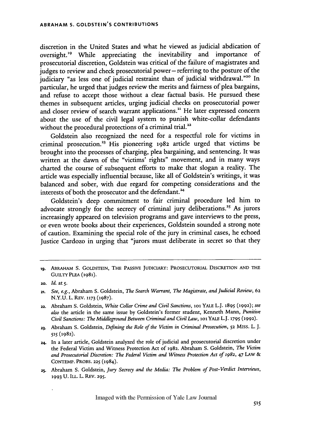discretion in the United States and what he viewed as judicial abdication of oversight.<sup>19</sup> While appreciating the inevitability and importance of prosecutorial discretion, Goldstein was critical of the failure of magistrates and judges to review and check prosecutorial power - referring to the posture of the judiciary "as less one of judicial restraint than of judicial withdrawal."<sup>20</sup> In particular, he urged that judges review the merits and fairness of plea bargains, and refuse to accept those without a clear factual basis. He pursued these themes in subsequent articles, urging judicial checks on prosecutorial power and closer review of search warrant applications." He later expressed concern about the use of the civil legal system to punish white-collar defendants without the procedural protections of a criminal trial.<sup>22</sup>

Goldstein also recognized the need for a respectful role for victims in criminal prosecution.<sup>23</sup> His pioneering 1982 article urged that victims be brought into the processes of charging, plea bargaining, and sentencing. It was written at the dawn of the "victims' rights" movement, and in many ways charted the course of subsequent efforts to make that slogan a reality. The article was especially influential because, like all of Goldstein's writings, it was balanced and sober, with due regard for competing considerations and the interests of both the prosecutor and the defendant.<sup>24</sup>

Goldstein's deep commitment to fair criminal procedure led him to advocate strongly for the secrecy of criminal jury deliberations.<sup>25</sup> As jurors increasingly appeared on television programs and gave interviews to the press, or even wrote books about their experiences, Goldstein sounded a strong note of caution. Examining the special role of the jury in criminal cases, he echoed Justice Cardozo in urging that "jurors must deliberate in secret so that they

**ig. ABRAHAM S.** GOLDSTEIN, THE PASSIVE JUDICIARY: PROSECUTORIAL DISCRETION **AND THE** GUILTY PLEA (1981).

**<sup>2</sup>o.** *Id.* at <sup>5</sup> .

**<sup>21.</sup>** *See, e.g.,* Abraham S. Goldstein, *The Search Warrant, The Magistrate, and Judicial Review,* 62 N.Y.U. L. REV. **1173** (1987).

<sup>22.</sup> Abraham S. Goldstein, *White Collar Crime and Civil Sanctions*, 101 YALE L.J. 1895 (1992); see *also* the article in the same issue by Goldstein's former student, Kenneth Mann, *Punitive Civil Sanctions: The Middleground Between Criminal and Civil Law, 101 YALE L.J. 1795 (1992).* 

**<sup>23.</sup>** Abraham S. Goldstein, *Defining the Role* of *the Victim in Criminal Prosecution,* **52** MiSS. L. J. **515** (1982).

<sup>24.</sup> In a later article, Goldstein analyzed the role of judicial and prosecutorial discretion under the Federal Victim and Witness Protection Act of 1982. Abraham S. Goldstein, *The Victim* and Prosecutorial Discretion: The Federal Victim and Witness Protection Act of 1982, 47 LAW & CONTEMP. PROBS. **225** (1984).

**<sup>25.</sup>** Abraham S. Goldstein, *Jury Secrecy and the Media: The Problem of Post-Verdict Interviews,* **1993 U.** ILL. L. REv. **295.**